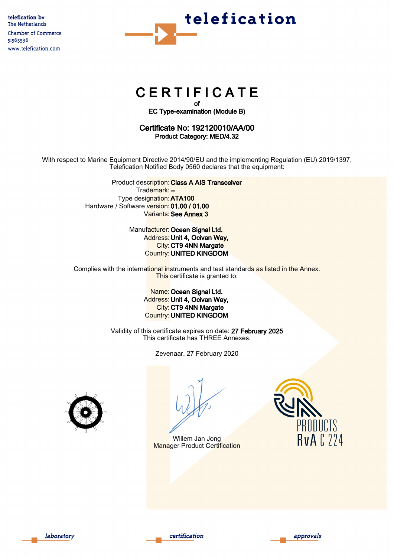

# **CERTIFICATE**

of EC Type-examination (Module B)

# Certificate No: 192120010/AA/00 Product Category: MED/4.32

With respect to Marine Equipment Directive 2014/90/EU and the implementing Regulation (EU) 2019/1397, Telefication Notified Body 0560 declares that the equipment:

> Product description: Class A AIS Transceiver Trademark: --Type designation:ATA100 Hardware / Software version: 01.00 / 01.00 Variants: See Annex 3

> > Manufacturer: Ocean Signal Ltd. Address: Unit 4, Ocivan Way, City: CT9 4NN Margate Country: UNITED KINGDOM

Complies with the international instruments and test standards as listed in the Annex. This certificate is granted to:

# **Name: Ocean Signal Ltd.** Address: Unit 4, Ocivan Way, City: CT9 4NN Margate Country: UNITED KINGDOM

Validity of this certificate expires on date: 27 February 2025 This certificate has THREE Annexes.

Zevenaar, 27 February 2020



Willem Jan Jong Manager Product Certification







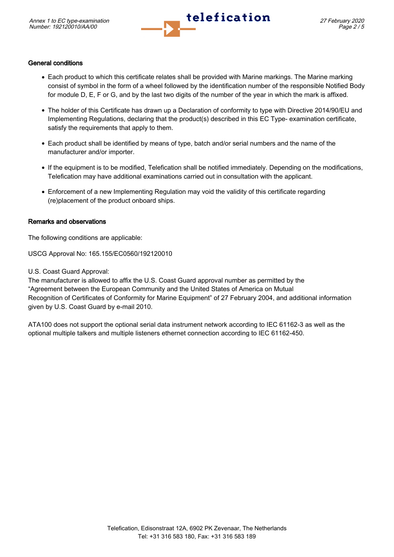

# General conditions

- Each product to which this certificate relates shall be provided with Marine markings. The Marine marking consist of symbol in the form of a wheel followed by the identification number of the responsible Notified Body for module D, E, F or G, and by the last two digits of the number of the year in which the mark is affixed.
- The holder of this Certificate has drawn up a Declaration of conformity to type with Directive 2014/90/EU and Implementing Regulations, declaring that the product(s) described in this EC Type- examination certificate, satisfy the requirements that apply to them.
- Each product shall be identified by means of type, batch and/or serial numbers and the name of the manufacturer and/or importer.
- If the equipment is to be modified, Telefication shall be notified immediately. Depending on the modifications, Telefication may have additional examinations carried out in consultation with the applicant.
- Enforcement of a new Implementing Regulation may void the validity of this certificate regarding (re)placement of the product onboard ships.

## Remarks and observations

The following conditions are applicable:

USCG Approval No: 165.155/EC0560/192120010

U.S. Coast Guard Approval:

The manufacturer is allowed to affix the U.S. Coast Guard approval number as permitted by the "Agreement between the European Community and the United States of America on Mutual Recognition of Certificates of Conformity for Marine Equipment" of 27 February 2004, and additional information given by U.S. Coast Guard by e-mail 2010.

ATA100 does not support the optional serial data instrument network according to IEC 61162-3 as well as the optional multiple talkers and multiple listeners ethernet connection according to IEC 61162-450.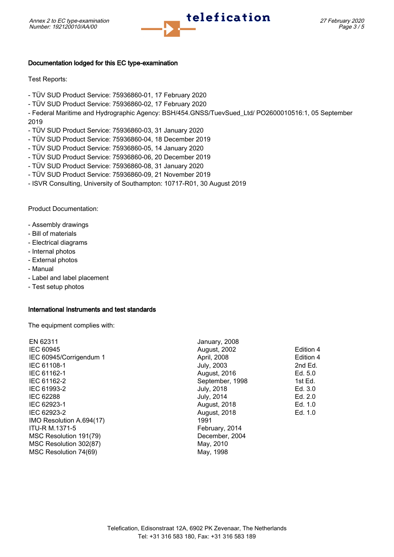

# Documentation lodged for this EC type-examination

Test Reports:

- TÜV SUD Product Service: 75936860-01, 17 February 2020
- TÜV SUD Product Service: 75936860-02, 17 February 2020
- Federal Maritime and Hydrographic Agency: BSH/454.GNSS/TuevSued\_Ltd/ PO2600010516:1, 05 September 2019
- TÜV SUD Product Service: 75936860-03, 31 January 2020
- TÜV SUD Product Service: 75936860-04, 18 December 2019
- TÜV SUD Product Service: 75936860-05, 14 January 2020
- TÜV SUD Product Service: 75936860-06, 20 December 2019
- TÜV SUD Product Service: 75936860-08, 31 January 2020
- TÜV SUD Product Service: 75936860-09, 21 November 2019
- ISVR Consulting, University of Southampton: 10717-R01, 30 August 2019

Product Documentation:

- Assembly drawings
- Bill of materials
- Electrical diagrams
- Internal photos
- External photos
- Manual
- Label and label placement
- Test setup photos

#### International Instruments and test standards

The equipment complies with:

| January, 2008       |           |
|---------------------|-----------|
| August, 2002        | Edition 4 |
| April, 2008         | Edition 4 |
| July, 2003          | 2nd Ed.   |
| August, 2016        | Ed. $5.0$ |
| September, 1998     | 1st Ed.   |
| <b>July, 2018</b>   | Ed. 3.0   |
| July, 2014          | Ed. 2.0   |
| <b>August, 2018</b> | Ed. 1.0   |
| August, 2018        | Ed. 1.0   |
| 1991                |           |
| February, 2014      |           |
| December, 2004      |           |
| May, 2010           |           |
| May, 1998           |           |
|                     |           |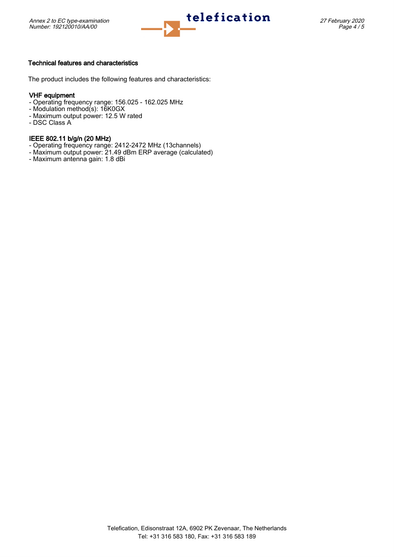

#### Technical features and characteristics

The product includes the following features and characteristics:

# VHF equipment

- Operating frequency range: 156.025 162.025 MHz
- Modulation method(s): 16K0GX
- Maximum output power: 12.5 W rated
- DSC Class A

## IEEE 802.11 b/g/n (20 MHz)

- Operating frequency range: 2412-2472 MHz (13channels)
- Maximum output power: 21.49 dBm ERP average (calculated)
- Maximum antenna gain: 1.8 dBi